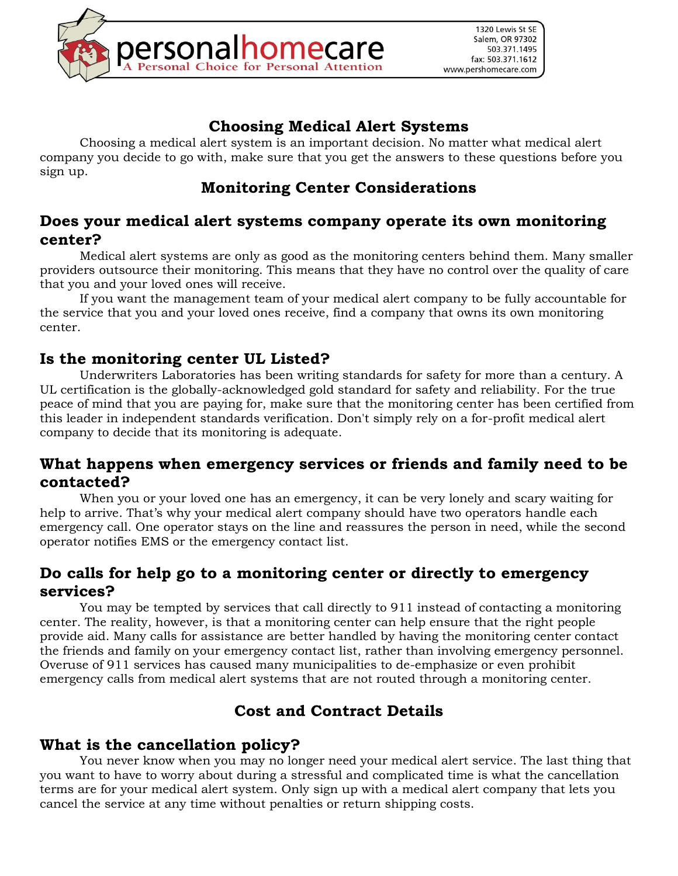

## **Choosing Medical Alert Systems**

Choosing a medical alert system is an important decision. No matter what medical alert company you decide to go with, make sure that you get the answers to these questions before you sign up.

## **Monitoring Center Considerations**

#### **Does your medical alert systems company operate its own monitoring center?**

Medical alert systems are only as good as the monitoring centers behind them. Many smaller providers outsource their monitoring. This means that they have no control over the quality of care that you and your loved ones will receive.

If you want the management team of your medical alert company to be fully accountable for the service that you and your loved ones receive, find a company that owns its own monitoring center.

#### **Is the monitoring center UL Listed?**

Underwriters Laboratories has been writing standards for safety for more than a century. A UL certification is the globally-acknowledged gold standard for safety and reliability. For the true peace of mind that you are paying for, make sure that the monitoring center has been certified from this leader in independent standards verification. Don't simply rely on a for-profit medical alert company to decide that its monitoring is adequate.

#### **What happens when emergency services or friends and family need to be contacted?**

When you or your loved one has an emergency, it can be very lonely and scary waiting for help to arrive. That's why your medical alert company should have two operators handle each emergency call. One operator stays on the line and reassures the person in need, while the second operator notifies EMS or the emergency contact list.

#### **Do calls for help go to a monitoring center or directly to emergency services?**

You may be tempted by services that call directly to 911 instead of contacting a monitoring center. The reality, however, is that a monitoring center can help ensure that the right people provide aid. Many calls for assistance are better handled by having the monitoring center contact the friends and family on your emergency contact list, rather than involving emergency personnel. Overuse of 911 services has caused many municipalities to de-emphasize or even prohibit emergency calls from medical alert systems that are not routed through a monitoring center.

# **Cost and Contract Details**

#### **What is the cancellation policy?**

You never know when you may no longer need your medical alert service. The last thing that you want to have to worry about during a stressful and complicated time is what the cancellation terms are for your medical alert system. Only sign up with a medical alert company that lets you cancel the service at any time without penalties or return shipping costs.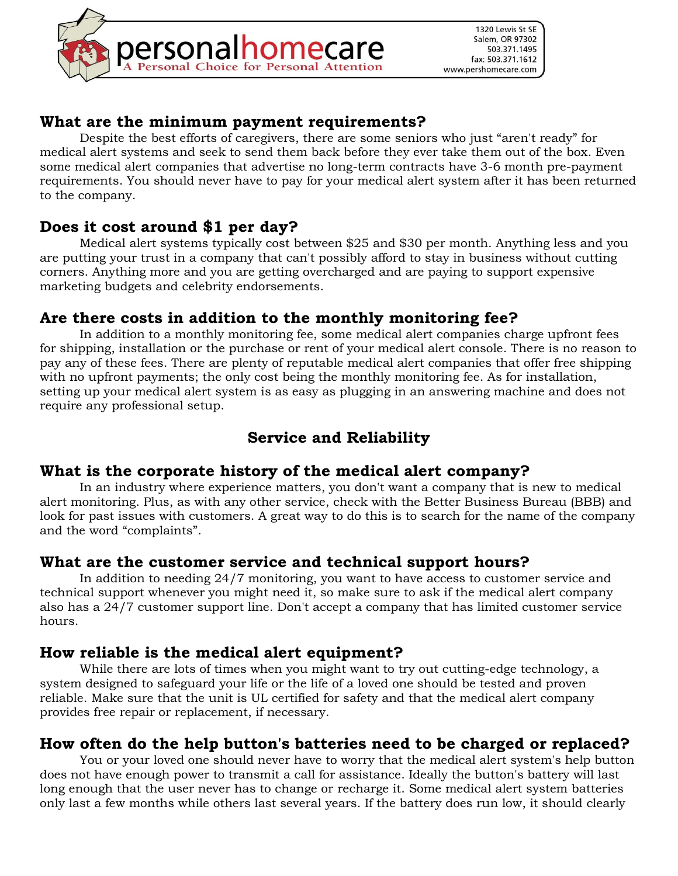

#### **What are the minimum payment requirements?**

Despite the best efforts of caregivers, there are some seniors who just "aren't ready" for medical alert systems and seek to send them back before they ever take them out of the box. Even some medical alert companies that advertise no long-term contracts have 3-6 month pre-payment requirements. You should never have to pay for your medical alert system after it has been returned to the company.

## **Does it cost around \$1 per day?**

Medical alert systems typically cost between \$25 and \$30 per month. Anything less and you are putting your trust in a company that can't possibly afford to stay in business without cutting corners. Anything more and you are getting overcharged and are paying to support expensive marketing budgets and celebrity endorsements.

### **Are there costs in addition to the monthly monitoring fee?**

In addition to a monthly monitoring fee, some medical alert companies charge upfront fees for shipping, installation or the purchase or rent of your medical alert console. There is no reason to pay any of these fees. There are plenty of reputable medical alert companies that offer free shipping with no upfront payments; the only cost being the monthly monitoring fee. As for installation, setting up your medical alert system is as easy as plugging in an answering machine and does not require any professional setup.

# **Service and Reliability**

### **What is the corporate history of the medical alert company?**

In an industry where experience matters, you don't want a company that is new to medical alert monitoring. Plus, as with any other service, check with the Better Business Bureau (BBB) and look for past issues with customers. A great way to do this is to search for the name of the company and the word "complaints".

### **What are the customer service and technical support hours?**

In addition to needing 24/7 monitoring, you want to have access to customer service and technical support whenever you might need it, so make sure to ask if the medical alert company also has a 24/7 customer support line. Don't accept a company that has limited customer service hours.

#### **How reliable is the medical alert equipment?**

While there are lots of times when you might want to try out cutting-edge technology, a system designed to safeguard your life or the life of a loved one should be tested and proven reliable. Make sure that the unit is UL certified for safety and that the medical alert company provides free repair or replacement, if necessary.

### **How often do the help button's batteries need to be charged or replaced?**

You or your loved one should never have to worry that the medical alert system's help button does not have enough power to transmit a call for assistance. Ideally the button's battery will last long enough that the user never has to change or recharge it. Some medical alert system batteries only last a few months while others last several years. If the battery does run low, it should clearly